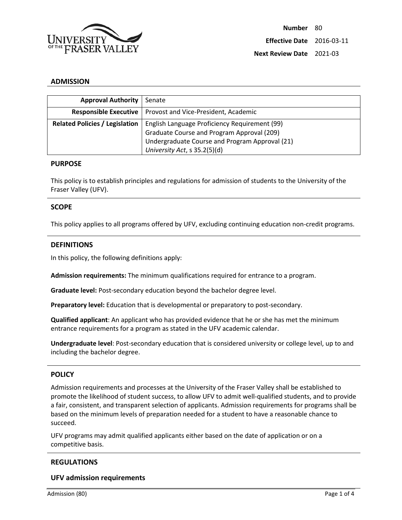

### **ADMISSION**

| <b>Approval Authority</b>             | Senate                                                       |
|---------------------------------------|--------------------------------------------------------------|
|                                       | Responsible Executive   Provost and Vice-President, Academic |
| <b>Related Policies / Legislation</b> | English Language Proficiency Requirement (99)                |
|                                       | Graduate Course and Program Approval (209)                   |
|                                       | Undergraduate Course and Program Approval (21)               |
|                                       | University Act, s 35.2(5)(d)                                 |

### **PURPOSE**

This policy is to establish principles and regulations for admission of students to the University of the Fraser Valley (UFV).

### **SCOPE**

This policy applies to all programs offered by UFV, excluding continuing education non-credit programs.

### **DEFINITIONS**

In this policy, the following definitions apply:

**Admission requirements:** The minimum qualifications required for entrance to a program.

**Graduate level:** Post-secondary education beyond the bachelor degree level.

**Preparatory level:** Education that is developmental or preparatory to post-secondary.

**Qualified applicant**: An applicant who has provided evidence that he or she has met the minimum entrance requirements for a program as stated in the UFV academic calendar.

**Undergraduate level**: Post-secondary education that is considered university or college level, up to and including the bachelor degree.

#### **POLICY**

Admission requirements and processes at the University of the Fraser Valley shall be established to promote the likelihood of student success, to allow UFV to admit well-qualified students, and to provide a fair, consistent, and transparent selection of applicants. Admission requirements for programs shall be based on the minimum levels of preparation needed for a student to have a reasonable chance to succeed.

UFV programs may admit qualified applicants either based on the date of application or on a competitive basis.

### **REGULATIONS**

#### **UFV admission requirements**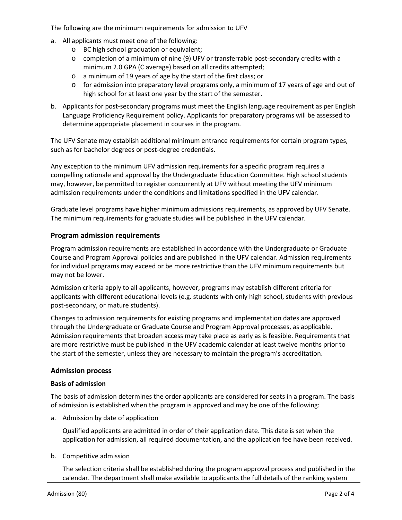The following are the minimum requirements for admission to UFV

- a. All applicants must meet one of the following:
	- o BC high school graduation or equivalent;
	- o completion of a minimum of nine (9) UFV or transferrable post-secondary credits with a minimum 2.0 GPA (C average) based on all credits attempted;
	- o a minimum of 19 years of age by the start of the first class; or
	- $\circ$  for admission into preparatory level programs only, a minimum of 17 years of age and out of high school for at least one year by the start of the semester.
- b. Applicants for post-secondary programs must meet the English language requirement as per English Language Proficiency Requirement policy. Applicants for preparatory programs will be assessed to determine appropriate placement in courses in the program.

The UFV Senate may establish additional minimum entrance requirements for certain program types, such as for bachelor degrees or post-degree credentials.

Any exception to the minimum UFV admission requirements for a specific program requires a compelling rationale and approval by the Undergraduate Education Committee. High school students may, however, be permitted to register concurrently at UFV without meeting the UFV minimum admission requirements under the conditions and limitations specified in the UFV calendar.

Graduate level programs have higher minimum admissions requirements, as approved by UFV Senate. The minimum requirements for graduate studies will be published in the UFV calendar.

## **Program admission requirements**

Program admission requirements are established in accordance with the Undergraduate or Graduate Course and Program Approval policies and are published in the UFV calendar. Admission requirements for individual programs may exceed or be more restrictive than the UFV minimum requirements but may not be lower.

Admission criteria apply to all applicants, however, programs may establish different criteria for applicants with different educational levels (e.g. students with only high school, students with previous post-secondary, or mature students).

Changes to admission requirements for existing programs and implementation dates are approved through the Undergraduate or Graduate Course and Program Approval processes, as applicable. Admission requirements that broaden access may take place as early as is feasible. Requirements that are more restrictive must be published in the UFV academic calendar at least twelve months prior to the start of the semester, unless they are necessary to maintain the program's accreditation.

## **Admission process**

## **Basis of admission**

The basis of admission determines the order applicants are considered for seats in a program. The basis of admission is established when the program is approved and may be one of the following:

a. Admission by date of application

Qualified applicants are admitted in order of their application date. This date is set when the application for admission, all required documentation, and the application fee have been received.

b. Competitive admission

The selection criteria shall be established during the program approval process and published in the calendar. The department shall make available to applicants the full details of the ranking system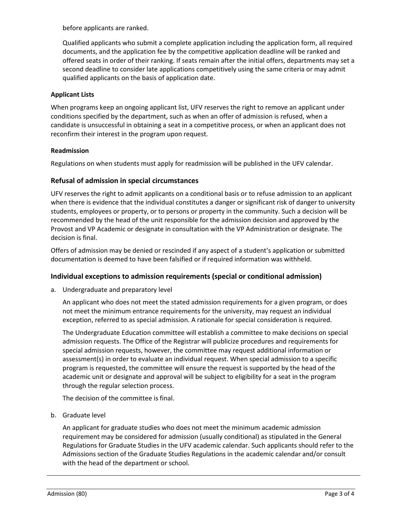before applicants are ranked.

Qualified applicants who submit a complete application including the application form, all required documents, and the application fee by the competitive application deadline will be ranked and offered seats in order of their ranking. If seats remain after the initial offers, departments may set a second deadline to consider late applications competitively using the same criteria or may admit qualified applicants on the basis of application date.

## **Applicant Lists**

When programs keep an ongoing applicant list, UFV reserves the right to remove an applicant under conditions specified by the department, such as when an offer of admission is refused, when a candidate is unsuccessful in obtaining a seat in a competitive process, or when an applicant does not reconfirm their interest in the program upon request.

## **Readmission**

Regulations on when students must apply for readmission will be published in the UFV calendar.

# **Refusal of admission in special circumstances**

UFV reserves the right to admit applicants on a conditional basis or to refuse admission to an applicant when there is evidence that the individual constitutes a danger or significant risk of danger to university students, employees or property, or to persons or property in the community. Such a decision will be recommended by the head of the unit responsible for the admission decision and approved by the Provost and VP Academic or designate in consultation with the VP Administration or designate. The decision is final.

Offers of admission may be denied or rescinded if any aspect of a student's application or submitted documentation is deemed to have been falsified or if required information was withheld.

# **Individual exceptions to admission requirements (special or conditional admission)**

a. Undergraduate and preparatory level

An applicant who does not meet the stated admission requirements for a given program, or does not meet the minimum entrance requirements for the university, may request an individual exception, referred to as special admission. A rationale for special consideration is required.

The Undergraduate Education committee will establish a committee to make decisions on special admission requests. The Office of the Registrar will publicize procedures and requirements for special admission requests, however, the committee may request additional information or assessment(s) in order to evaluate an individual request. When special admission to a specific program is requested, the committee will ensure the request is supported by the head of the academic unit or designate and approval will be subject to eligibility for a seat in the program through the regular selection process.

The decision of the committee is final.

b. Graduate level

An applicant for graduate studies who does not meet the minimum academic admission requirement may be considered for admission (usually conditional) as stipulated in the General Regulations for Graduate Studies in the UFV academic calendar. Such applicants should refer to the Admissions section of the Graduate Studies Regulations in the academic calendar and/or consult with the head of the department or school.